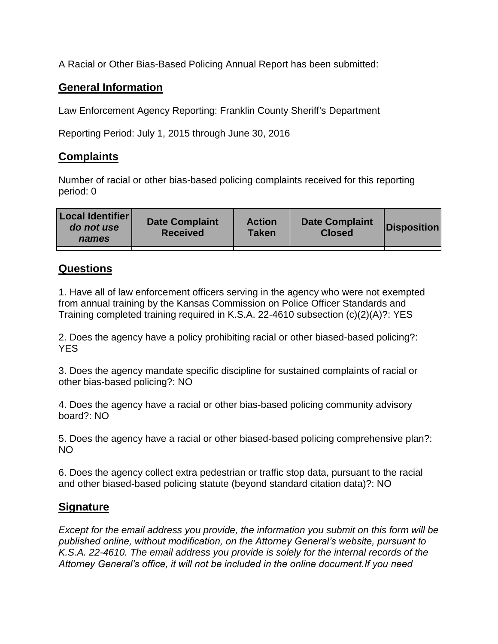A Racial or Other Bias-Based Policing Annual Report has been submitted:

## **General Information**

Law Enforcement Agency Reporting: Franklin County Sheriff's Department

Reporting Period: July 1, 2015 through June 30, 2016

## **Complaints**

Number of racial or other bias-based policing complaints received for this reporting period: 0

| <b>Local Identifier</b><br>do not use<br>names | <b>Date Complaint</b><br><b>Received</b> | <b>Action</b><br><b>Taken</b> | <b>Date Complaint</b><br><b>Closed</b> | Disposition |
|------------------------------------------------|------------------------------------------|-------------------------------|----------------------------------------|-------------|
|                                                |                                          |                               |                                        |             |

## **Questions**

1. Have all of law enforcement officers serving in the agency who were not exempted from annual training by the Kansas Commission on Police Officer Standards and Training completed training required in K.S.A. 22-4610 subsection (c)(2)(A)?: YES

2. Does the agency have a policy prohibiting racial or other biased-based policing?: YES

3. Does the agency mandate specific discipline for sustained complaints of racial or other bias-based policing?: NO

4. Does the agency have a racial or other bias-based policing community advisory board?: NO

5. Does the agency have a racial or other biased-based policing comprehensive plan?: NO

6. Does the agency collect extra pedestrian or traffic stop data, pursuant to the racial and other biased-based policing statute (beyond standard citation data)?: NO

## **Signature**

*Except for the email address you provide, the information you submit on this form will be published online, without modification, on the Attorney General's website, pursuant to K.S.A. 22-4610. The email address you provide is solely for the internal records of the Attorney General's office, it will not be included in the online document.If you need*